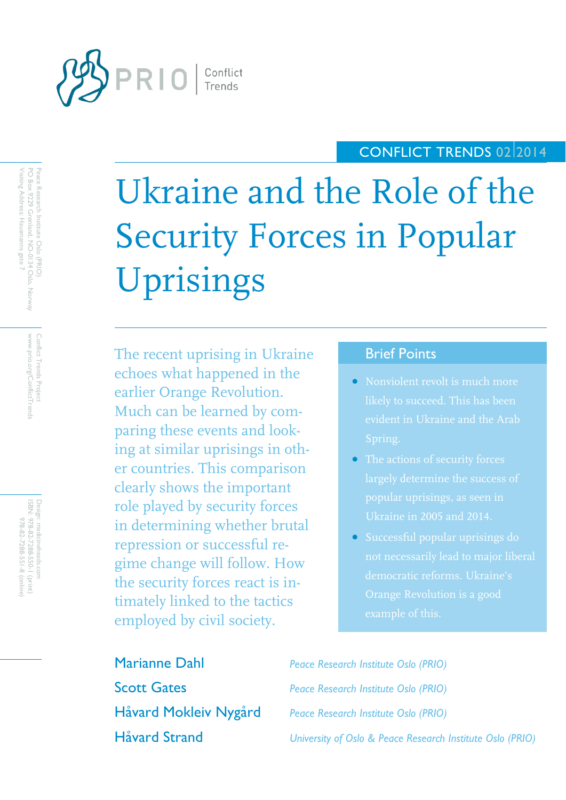

# CONFLICT TRENDS 02 2014

Ukraine and the Role of the Security Forces in Popular Uprisings

The recent uprising in Ukraine echoes what happened in the earlier Orange Revolution. Much can be learned by comparing these events and looking at similar uprisings in other countries. This comparison clearly shows the important role played by security forces in determining whether brutal repression or successful regime change will follow. How the security forces react is intimately linked to the tactics employed by civil society.

# Brief Points

- Nonviolent revolt is much more likely to succeed. This has been evident in Ukraine and the Arab
- 
- democratic reforms. Ukraine's

Marianne Dahl *Peace Research Institute Oslo (PRIO)* Scott Gates *Peace Research Institute Oslo (PRIO)* Håvard Mokleiv Nygård *Peace Research Institute Oslo (PRIO)* Håvard Strand *University of Oslo & Peace Research Institute Oslo (PRIO)*

Visiting Address: Hausmanns gate 7 Peace Research Institute Oslo (PRIO)<br>PO Box 9229 Grønland, NO-0134 Oslo, Norway Visiting Address: Hausmanns gate 7 PO Box 9229 Grønland, NO Peace Research Institute Oslo (PRIO) -0134 Oslo, Norway

> www.prio.org/ConflictTrend Conflict Trends Project www.prio.org/ConflictTrends Conflict Trends Project

Design: medicineheads.com<br>ISBN: 978-82-7288-550-1 (print)<br>978-82-7288-551-1 (print) Design: medicineheads.com 978-82-7288-550-1 (print) 978-82-7288-551-8 (online)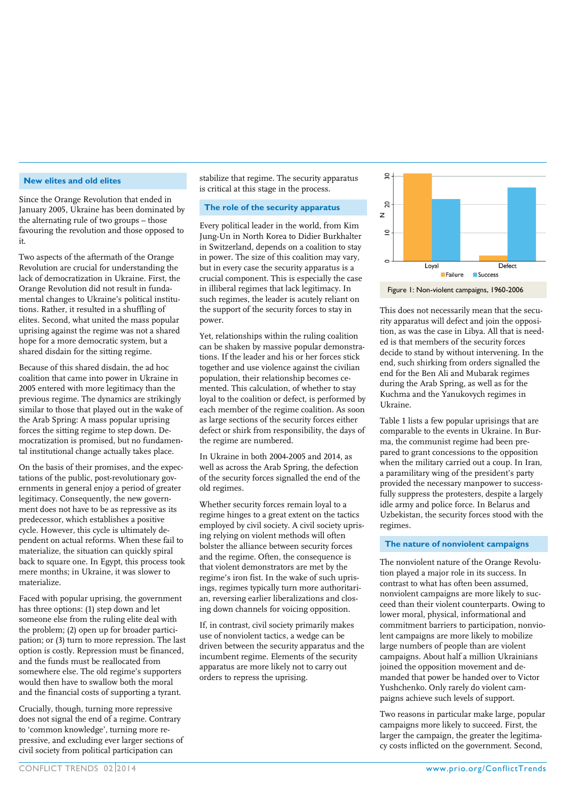#### **New elites and old elites**

Since the Orange Revolution that ended in January 2005, Ukraine has been dominated by the alternating rule of two groups – those favouring the revolution and those opposed to it.

Two aspects of the aftermath of the Orange Revolution are crucial for understanding the lack of democratization in Ukraine. First, the Orange Revolution did not result in fundamental changes to Ukraine's political institutions. Rather, it resulted in a shuffling of elites. Second, what united the mass popular uprising against the regime was not a shared hope for a more democratic system, but a shared disdain for the sitting regime.

Because of this shared disdain, the ad hoc coalition that came into power in Ukraine in 2005 entered with more legitimacy than the previous regime. The dynamics are strikingly similar to those that played out in the wake of the Arab Spring: A mass popular uprising forces the sitting regime to step down. Democratization is promised, but no fundamental institutional change actually takes place.

On the basis of their promises, and the expectations of the public, post-revolutionary governments in general enjoy a period of greater legitimacy. Consequently, the new government does not have to be as repressive as its predecessor, which establishes a positive cycle. However, this cycle is ultimately dependent on actual reforms. When these fail to materialize, the situation can quickly spiral back to square one. In Egypt, this process took mere months; in Ukraine, it was slower to materialize.

Faced with popular uprising, the government has three options: (1) step down and let someone else from the ruling elite deal with the problem; (2) open up for broader participation; or (3) turn to more repression. The last option is costly. Repression must be financed, and the funds must be reallocated from somewhere else. The old regime's supporters would then have to swallow both the moral and the financial costs of supporting a tyrant.

Crucially, though, turning more repressive does not signal the end of a regime. Contrary to 'common knowledge', turning more repressive, and excluding ever larger sections of civil society from political participation can

stabilize that regime. The security apparatus is critical at this stage in the process.

#### **The role of the security apparatus**

Every political leader in the world, from Kim Jung-Un in North Korea to Didier Burkhalter in Switzerland, depends on a coalition to stay in power. The size of this coalition may vary, but in every case the security apparatus is a crucial component. This is especially the case in illiberal regimes that lack legitimacy. In such regimes, the leader is acutely reliant on the support of the security forces to stay in power.

Yet, relationships within the ruling coalition can be shaken by massive popular demonstrations. If the leader and his or her forces stick together and use violence against the civilian population, their relationship becomes cemented. This calculation, of whether to stay loyal to the coalition or defect, is performed by each member of the regime coalition. As soon as large sections of the security forces either defect or shirk from responsibility, the days of the regime are numbered.

In Ukraine in both 2004-2005 and 2014, as well as across the Arab Spring, the defection of the security forces signalled the end of the old regimes.

Whether security forces remain loyal to a regime hinges to a great extent on the tactics employed by civil society. A civil society uprising relying on violent methods will often bolster the alliance between security forces and the regime. Often, the consequence is that violent demonstrators are met by the regime's iron fist. In the wake of such uprisings, regimes typically turn more authoritarian, reversing earlier liberalizations and closing down channels for voicing opposition.

If, in contrast, civil society primarily makes use of nonviolent tactics, a wedge can be driven between the security apparatus and the incumbent regime. Elements of the security apparatus are more likely not to carry out orders to repress the uprising.





This does not necessarily mean that the security apparatus will defect and join the opposition, as was the case in Libya. All that is needed is that members of the security forces decide to stand by without intervening. In the end, such shirking from orders signalled the end for the Ben Ali and Mubarak regimes during the Arab Spring, as well as for the Kuchma and the Yanukovych regimes in Ukraine.

Table 1 lists a few popular uprisings that are comparable to the events in Ukraine. In Burma, the communist regime had been prepared to grant concessions to the opposition when the military carried out a coup. In Iran, a paramilitary wing of the president's party provided the necessary manpower to successfully suppress the protesters, despite a largely idle army and police force. In Belarus and Uzbekistan, the security forces stood with the regimes.

#### **The nature of nonviolent campaigns**

The nonviolent nature of the Orange Revolution played a major role in its success. In contrast to what has often been assumed, nonviolent campaigns are more likely to succeed than their violent counterparts. Owing to lower moral, physical, informational and commitment barriers to participation, nonviolent campaigns are more likely to mobilize large numbers of people than are violent campaigns. About half a million Ukrainians joined the opposition movement and demanded that power be handed over to Victor Yushchenko. Only rarely do violent campaigns achieve such levels of support.

Two reasons in particular make large, popular campaigns more likely to succeed. First, the larger the campaign, the greater the legitimacy costs inflicted on the government. Second,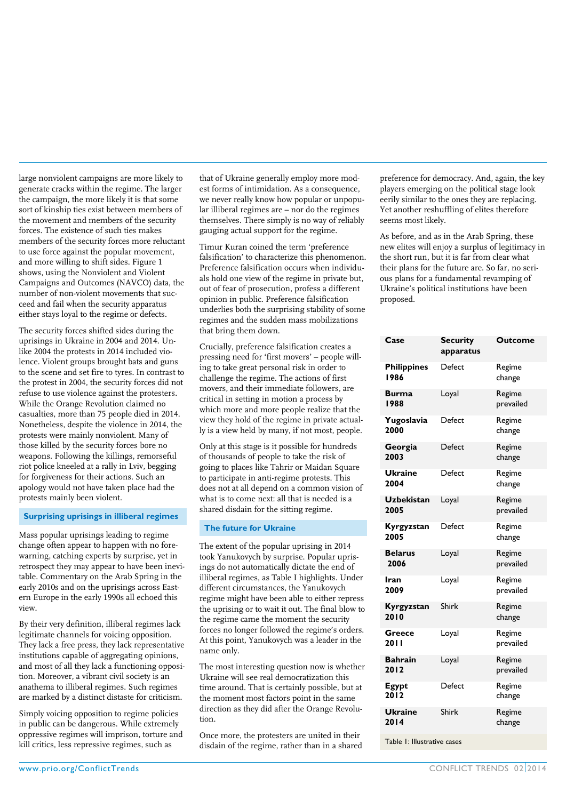large nonviolent campaigns are more likely to generate cracks within the regime. The larger the campaign, the more likely it is that some sort of kinship ties exist between members of the movement and members of the security forces. The existence of such ties makes members of the security forces more reluctant to use force against the popular movement, and more willing to shift sides. Figure 1 shows, using the Nonviolent and Violent Campaigns and Outcomes (NAVCO) data, the number of non-violent movements that succeed and fail when the security apparatus either stays loyal to the regime or defects.

The security forces shifted sides during the uprisings in Ukraine in 2004 and 2014. Unlike 2004 the protests in 2014 included violence. Violent groups brought bats and guns to the scene and set fire to tyres. In contrast to the protest in 2004, the security forces did not refuse to use violence against the protesters. While the Orange Revolution claimed no casualties, more than 75 people died in 2014. Nonetheless, despite the violence in 2014, the protests were mainly nonviolent. Many of those killed by the security forces bore no weapons. Following the killings, remorseful riot police kneeled at a rally in Lviv, begging for forgiveness for their actions. Such an apology would not have taken place had the protests mainly been violent.

#### **Surprising uprisings in illiberal regimes**

Mass popular uprisings leading to regime change often appear to happen with no forewarning, catching experts by surprise, yet in retrospect they may appear to have been inevitable. Commentary on the Arab Spring in the early 2010s and on the uprisings across Eastern Europe in the early 1990s all echoed this view.

By their very definition, illiberal regimes lack legitimate channels for voicing opposition. They lack a free press, they lack representative institutions capable of aggregating opinions, and most of all they lack a functioning opposition. Moreover, a vibrant civil society is an anathema to illiberal regimes. Such regimes are marked by a distinct distaste for criticism.

Simply voicing opposition to regime policies in public can be dangerous. While extremely oppressive regimes will imprison, torture and kill critics, less repressive regimes, such as

that of Ukraine generally employ more modest forms of intimidation. As a consequence, we never really know how popular or unpopular illiberal regimes are – nor do the regimes themselves. There simply is no way of reliably gauging actual support for the regime.

Timur Kuran coined the term 'preference falsification' to characterize this phenomenon. Preference falsification occurs when individuals hold one view of the regime in private but, out of fear of prosecution, profess a different opinion in public. Preference falsification underlies both the surprising stability of some regimes and the sudden mass mobilizations that bring them down.

Crucially, preference falsification creates a pressing need for 'first movers' – people willing to take great personal risk in order to challenge the regime. The actions of first movers, and their immediate followers, are critical in setting in motion a process by which more and more people realize that the view they hold of the regime in private actually is a view held by many, if not most, people.

Only at this stage is it possible for hundreds of thousands of people to take the risk of going to places like Tahrir or Maidan Square to participate in anti-regime protests. This does not at all depend on a common vision of what is to come next: all that is needed is a shared disdain for the sitting regime.

#### **The future for Ukraine**

The extent of the popular uprising in 2014 took Yanukovych by surprise. Popular uprisings do not automatically dictate the end of illiberal regimes, as Table I highlights. Under different circumstances, the Yanukovych regime might have been able to either repress the uprising or to wait it out. The final blow to the regime came the moment the security forces no longer followed the regime's orders. At this point, Yanukovych was a leader in the name only.

The most interesting question now is whether Ukraine will see real democratization this time around. That is certainly possible, but at the moment most factors point in the same direction as they did after the Orange Revolution.

Once more, the protesters are united in their disdain of the regime, rather than in a shared preference for democracy. And, again, the key players emerging on the political stage look eerily similar to the ones they are replacing. Yet another reshuffling of elites therefore seems most likely.

As before, and as in the Arab Spring, these new elites will enjoy a surplus of legitimacy in the short run, but it is far from clear what their plans for the future are. So far, no serious plans for a fundamental revamping of Ukraine's political institutions have been proposed.

| Case                       | <b>Security</b><br>apparatus | Outcome             |
|----------------------------|------------------------------|---------------------|
| <b>Philippines</b><br>1986 | Defect                       | Regime<br>change    |
| Burma<br>1988              | Loyal                        | Regime<br>prevailed |
| Yugoslavia<br>2000         | Defect                       | Regime<br>change    |
| Georgia<br>2003            | Defect                       | Regime<br>change    |
| <b>Ukraine</b><br>2004     | Defect                       | Regime<br>change    |
| <b>Uzbekistan</b><br>2005  | Loyal                        | Regime<br>prevailed |
| Kyrgyzstan<br>2005         | Defect                       | Regime<br>change    |
| <b>Belarus</b><br>2006     | Loyal                        | Regime<br>prevailed |
| Iran<br>2009               | Loyal                        | Regime<br>prevailed |
| Kyrgyzstan<br>2010         | Shirk                        | Regime<br>change    |
| Greece<br>20 I I           | Loyal                        | Regime<br>prevailed |
| <b>Bahrain</b><br>2012     | Loyal                        | Regime<br>prevailed |
| Egypt<br>2012              | Defect                       | Regime<br>change    |
| <b>Ukraine</b><br>2014     | Shirk                        | Regime<br>change    |

Table 1: Illustrative cases